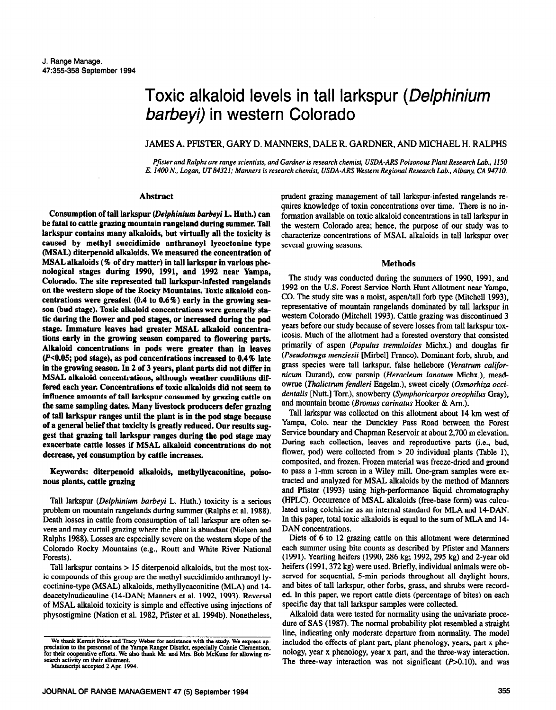# Toxic alkaloid levels in tall larkspur (Delphinium barbeyi) in western Colorado

JAMES A. PFISTER, GARY D. MANNERS, DALE R. GARDNER, AND MICHAEL H. RALPHS

*Pfister and Ralphs are range scientists, and Gardner is research chemist, USDA-ARS Poisonous Plant Research Lab., 1150 E. 1400 N., Logan, lJT84321; Manners is research chemist, USDA-ARS Western Regional Research Lab., Albany, CA 94710.* 

## **Abstract**

**Consumption of tall larkspur** *(Delphinium barbeyi L. Huth.)* **can be fatal to cattle grazing mountain rangeland during summer. Tall larkspur contains many alkaloids, but virtually all the toxicity is caused by methyl succidimido anthranoyl lycoctonine-type (MSAL.) diterpenoid alkaloids. We measured the concentration of MSAL alkaloids (% of dry matter) in tall larkspur in various phenological stages during 1990, 1991, and 1992 near Yampa, Colorado. The site represented tall larkspur-infested rangelands on the western slope of the Rocky Mountains. Toxic alkaloid concentrations were greatest (0.4 to 0.6%) early in the growing season (bud stage). Toxic alkaloid concentrations were generally static during the flower and pod stages, or Increased during the pod stage. Immature leaves had greater MSAL alkaloid concentrations early in the growing season compared to flowering parts. Alkaloid concentrations in pods were greater than in leaves**  (P<0.05; pod stage), as pod concentrations increased to 0.4% late **in the growing season. In 2 of 3 years, plant parts did not differ in MSAL alkaloid concentrations, although weather conditions differed each year. Concentrations of toxic alkaloids did not seem to influence amounts of tall larkspur consumed by grazing cattle on the same sampling dates. Many livestock producers defer grazing of tall larkspur ranges until the plant is in the pod stage because of a general belief that toxicity is greatly reduced. Our results suggest that grazing tall larkspur ranges during the pod stage may exacerbate cattle losses if MSAL alkaloid concentrations do not decrease, yet consumption by cattle increases.** 

## **Keywords: diterpenoid alkaloids, methyllycaconitine, poisonous plants, cattle grazing**

Tall larkspur *(Delphinium barbeyi* L. Huth.) toxicity is a serious problem on mountain rangelands during summer (Ralphs et al. 1988). Death losses in cattle from consumption of tall larkspur are often severe and may curtail grazing where the plant is abundant (Nielsen and Ralphs 1988). Losses are especially severe on the western slope of the Colorado Rocky Mountains (e.g., Routt and White River National Forests).

Tall larkspur contains > 15 diterpenoid alkaloids, but the most toxic compounds of this group are the methyl succidimido anthranoyl lycoctinine-type (MSAL) alkaloids, methyllycaconitine (MLA) and 14 deacetylnudicauline (14-DAN; Manners et al. 1992, 1993). Reversal of MSAL alkaloid toxicity is simple and effective using injections of physostigmine (Nation et al. 1982, Pfister et al. 1994b). Nonetheless,

prudent grazing management of tall larkspur-infested rangelands requires knowledge of toxin concentrations over time. There is no information available on toxic alkaloid concentrations in tall larkspur in the western Colorado area; hence, the purpose of our study was to characterize concentrations of MSAL alkaloids in tall larkspur over several growing seasons.

#### **Methods**

**The** study was conducted during the summers of 1990, 1991, and 1992 on the U.S. Forest Service North Hunt Allotment near Yampa, CO. The study site was a moist, aspen/tall forb type (Mitchell 1993). representative of mountain rangelands dominated by tall larkspur in western Colorado (Mitchell 1993). Cattle grazing was discontinued 3 years before our study because of severe losses from tall larkspur toxicosis. Much of the allotment had a forested overstory that consisted primarily of aspen *(Populus tremuloides* Michx.) and douglas fir *(Pseudofsugu menziesii* [Mirbel] France). Dominant forb, shrub, and grass species were tall larkspur, false hellebore *(Veratrum californicum* Durand), cow parsnip *(Heracleum lanatum Michx.)*, meadowrue *(Thalictrum fendleri* Engelm.), sweet cicely *(Osmorhiza occidentalis* [Nutt.] Torr.), snowberry *(Symphoricarpos oreophilus Gray)*, and mountain brome *(Bromus carinatus* Hooker & Am.).

Tall larkspur was collected on this allotment about 14 km west of Yampa, Colo. near the Dunckley Pass Road between the Forest Service boundary and Chapman Reservoir at about 2,700 m elevation. During each collection, leaves and reproductive parts (i.e., bud, flower, pod) were collected from > 20 individual plants (Table l), composited, and frozen. Frozen material was freeze-dried and ground to pass a l-mm screen in a Wiley mill. One-gram samples were extracted and analyzed for MSAL alkaloids by the method of Manners and Pfister (1993) using high-performance liquid chromatography (HPLC). Occurrence of MSAL alkaloids (free-base form) was calculated using colchicine as an internal standard for MLA and 14-DAN. In this paper, total toxic alkaloids is equal to the sum of MLA and 14- DAN concentrations.

Diets of 6 to 12 grazing cattle on this allotment were determined each summer using bite counts as described by Pfister and Manners (1991). Yearling heifers (1990, 286 kg; 1992,295 kg) and 2-year old heifers (1991, 372 kg) were used. Briefly, individual animals were observed for sequential, 5-min periods throughout all daylight hours, and bites of tall larkspur, other forbs, grass, and shrubs were recorded. In this paper, we report cattle diets (percentage of bites) on each specific day that tall larkspur samples were collected.

Alkaloid data were tested for normality using the umvariate procedure of SAS (1987). The normal probability plot resembled a straight line, indicating only moderate departure from normality. The model included the effects of plant part, plant phenology, years, part x phenology, year x phenology, year x part, and the three-way interaction. The three-way interaction was not significant  $(P>0.10)$ , and was

We thank Kermit Price and Tracy Weber for assistance with the study. We express appreciation to the personnel of the Yampa Ranger District, especially Connie Clementson. for their cooperative efforts. We also thank Mr. and Mrs. Bob McKune for allowing research activity on their allotment. Manuscript accepted 2 Apr. 1994.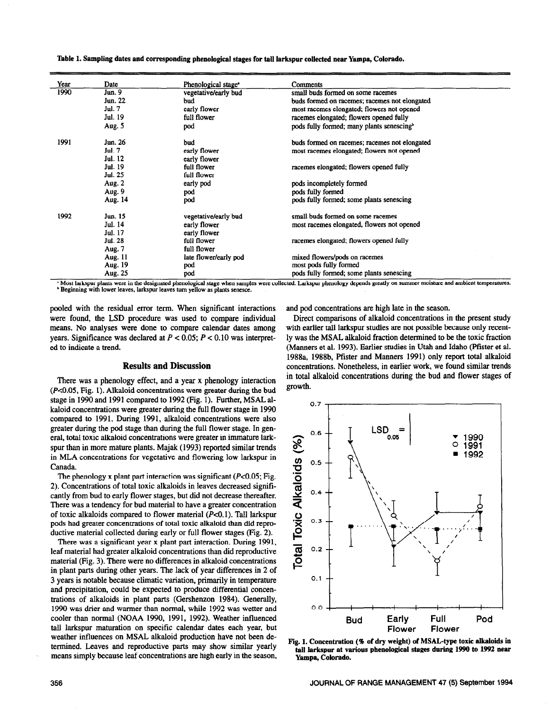| Year | Date    | Phenological stage <sup>•</sup> | Comments                                              |
|------|---------|---------------------------------|-------------------------------------------------------|
| 1990 | Jun. 9  | vegetative/early bud            | small buds formed on some racemes                     |
|      | Jun. 22 | bud                             | buds formed on racemes; racemes not elongated         |
|      | Jul. 7  | early flower                    | most racemes elongated; flowers not opened            |
|      | Jul. 19 | full flower                     | racemes elongated; flowers opened fully               |
|      | Aug. 5  | pod                             | pods fully formed; many plants senescing <sup>b</sup> |
| 1991 | Jun. 26 | bud                             | buds formed on racemes; racemes not elongated         |
|      | Jul. 7  | early flower                    | most racemes elongated; flowers not opened            |
|      | Jul. 12 | early flower                    |                                                       |
|      | Jul. 19 | full flower                     | racemes elongated; flowers opened fully               |
|      | Jul. 25 | full flower                     |                                                       |
|      | Aug. 2  | early pod                       | pods incompletely formed                              |
|      | Aug. 9  | pod                             | pods fully formed                                     |
|      | Aug. 14 | pod                             | pods fully formed; some plants senescing              |
| 1992 | Jun. 15 | vegetative/early bud            | small buds formed on some racemes                     |
|      | Jul. 14 | early flower                    | most racemes elongated, flowers not opened            |
|      | Jul. 17 | early flower                    |                                                       |
|      | Jul. 28 | full flower                     | racemes elongated; flowers opened fully               |
|      | Aug. 7  | full flower                     |                                                       |
|      | Aug. 11 | late flower/early pod           | mixed flowers/pods on racemes                         |
|      | Aug. 19 | pod                             | most pods fully formed                                |
|      | Aug. 25 | pod                             | pods fully formed; some plants senescing              |

**Table 1. Sampling dates and corresponding phenological stages for tall larkspur collected near Yampa, Colorado.** 

Most larkspur plants were in the designated phenological stage when samples were collected. Larkspur phenology depends greatly on summer moisture and ambient temperatures. ' Beginning **with lower leaves, larkspur leaves turn yellow as plants senesce.** 

pooled with the residual error term. When significant interactions were found, the LSD procedure was used to compare individual means. No analyses were done to compare calendar dates among years. Significance was declared at *P < 0.05; P e 0.10* was interpreted to indicate a trend.

#### **Results and Discussion**

There was a phenology effect, and a year x phenology interaction *(PcO.05,* **Fig.** 1). Alkaloid concentrations were greater during the bud stage in 1990 and 1991 compared to 1992 (Fig. 1). Further, MSAL alkaloid concentrations were greater during the full flower stage in 1990 compared to 1991. During 1991, alkaloid concentrations were also greater during the pod stage than during the full flower stage. In general, total toxic alkaloid concentrations were greater in immature larkspur than in more mature plants. Majak (1993) reported similar trends in MLA concentrations for vegetative and flowering low larkspur in Canada.

The phenology x plant part interaction was significant *(PcO.05;* **Fig. 2). Concentrations of total toxic alkaloids** in leaves decreased significantly from bud to early flower stages, but did not decrease thereafter. There was a tendency for bud material to have a greater concentration of toxic alkaloids compared to flower material *(P-CO.* 1). Tall larkspur pods had greater concentrations of total toxic alkaloid than did reproductive material collected during early or full flower stages (Fig. 2).

There was a significant year x plant part interaction. During 1991, leaf material had greater alkaloid concentrations than did reproductive material (Fig. 3). There were no differences in alkaloid concentrations in plant parts during other years. The lack of year differences in 2 of 3 years is notable because climatic variation, primarily in temperature and precipitation, could be expected to produce differential concentrations of alkaloids in plant parts (Gershenzon 1984). Generally, 1990 was drier and warmer than normal, while 1992 was wetter and cooler than normal (NOAA 1990, 1991, 1992). Weather influenced tall larkspur maturation on specific calendar dates each year, but weather influences on MSAL alkaloid production have not been determined. Leaves and reproductive parts may show similar yearly means simply because leaf concentrations are high early in the season,

and pod concentrations are high late in the season.

Direct comparisons of alkaloid concentrations in the present study with earlier tall larkspur studies are not possible because only recently was the MSAL alkaloid fraction determined to be the toxic fraction (Manners et al. 1993). Earlier studies in Utah and Idaho (Pfister et al. 1988a, 1988b, Pfister and Manners 1991) only report total alkaloid concentrations. Nonetheless, in earlier work, we found similar trends in total alkaloid concentrations during the bud and flower stages of growth.



**Fig. 1. Concentration (% of dry weight) of MSAL-type toxic alkaloids in tall larkspur at various phenoiogical stages during 1990 to 1992 near Yampa, Colorado.**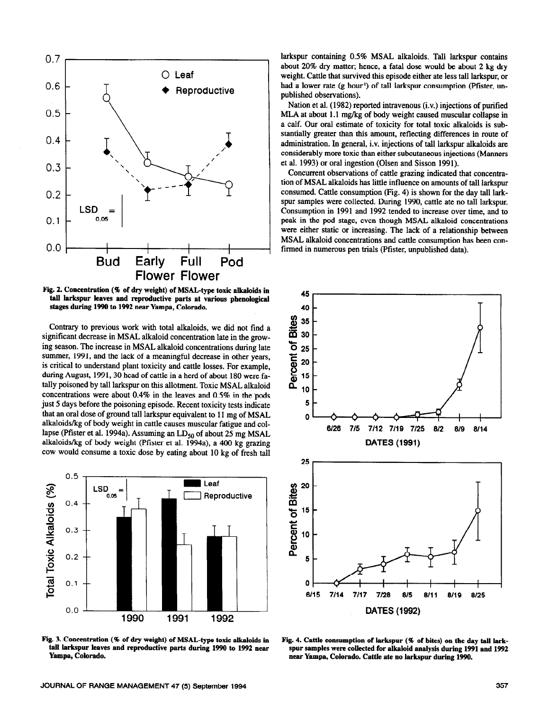

Fig. 2. Concentration (% of dry weight) of MSAL-type toxic alkaloids in tall larkspur leaves and reproductive parts at various phenological **stages during 1990 to 1992 near Yampa, Colorado.** 

Contrary to **previous** work with total alkaloids, we did not find a significant decrease in MSAL alkaloid concentration late in the growing season. The increase in MSAL alkaloid concentrations during late summer, 1991, and the lack of a meaningful decrease in other years, is critical to understand plant toxicity and cattle losses. For example, during August, 1991, 30 head of cattle in a herd of about 180 were fatally poisoned by tall larkspur on this allotment. Toxic MSAL alkaloid concentrations were about 0.4% in the leaves and 0.5% in the pods just 5 days before the poisoning episode. Recent toxicity tests indicate that an oral dose of ground tall larkspur equivalent to 11 mg of MSAL alkaloids/kg of body weight in cattle causes muscular fatigue and collapse (Pfister et al. 1994a). Assuming an LD<sub>50</sub> of about 25 mg MSAL alkaloids/kg of body weight (Pfister et al. 1994a), a 400 kg grazing cow would consume a toxic dose by eating about 10 kg of fresh tall



Fig. 3. Concentration (% of dry weight) of MSAL-type toxic alkaloids in **tall larkspur leaves and reproductive parts during 1990 to 1992 near Yampa, Colorado.** 

larkspur containing 0.5% MSAL alkaloids. Tall larkspur contains about 20% dry matter; hence, a fatal dose would be about 2 kg dry weight. Cattle that survived this episode either ate less tall larkspur, or had a lower rate (g hour') of tall larkspur consumption (Pfister, unpublished observations).

Nation et al. (1982) reported intravenous (i.v.) injections of purified MLA at about 1.1 mg/kg of body weight caused muscular collapse in a calf. Our oral estimate of toxicity for total toxic alkaloids is substantially greater than this amount, reflecting differences in route of administration. In general, i.v. injections of tall larkspur alkaloids are considerably more toxic than either subcutaneous injections (Manners et al. 1993) or oral ingestion (Olsen and Sisson 1991).

Concurrent observations of cattle grazing indicated that concentration of MSAL alkaloids has little influence on amounts of tall larkspur consumed. Cattle consumption (Fig. 4) is shown for the day tall larkspur samples were collected. During 1990, cattle ate no tall larkspur. Consumption in 1991 and 1992 tended to increase over time, and to peak in the pod stage, even though MSAL alkaloid concentrations were either static or increasing. The lack of a relationship between MSAL alkaloid concentrations and cattle consumption has been confirmed in numerous pen trials (Pfister, unpublished data).



**Fig. 4. Cattle consumption of larkspur (% of bites) on the day tall larkspur samples were collected for alkaloid analysis during 1991 and 1992 near Yampa, Colorado. Cattle ate no larkspur during 1990.**